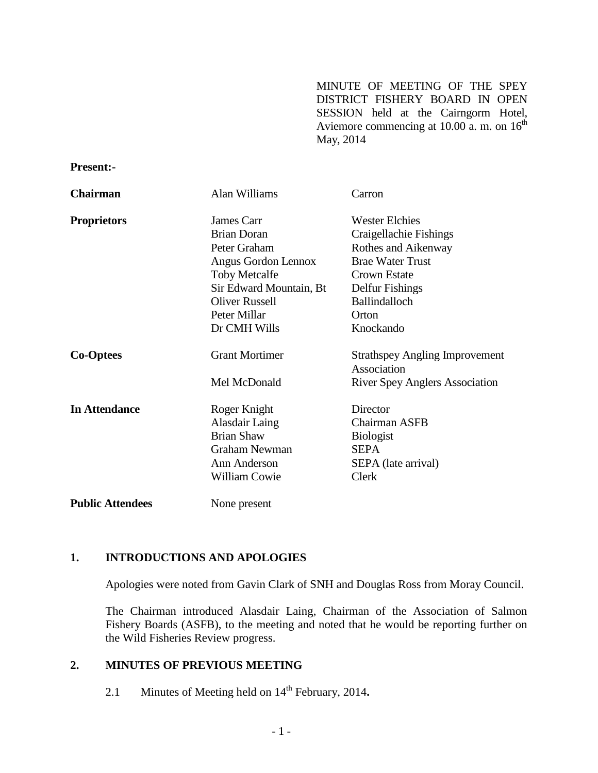MINUTE OF MEETING OF THE SPEY DISTRICT FISHERY BOARD IN OPEN SESSION held at the Cairngorm Hotel, Aviemore commencing at 10.00  $\alpha$ . m. on 16<sup>th</sup> May, 2014

#### **Present:-**

| <b>Chairman</b>         | Alan Williams           | Carron                                               |
|-------------------------|-------------------------|------------------------------------------------------|
| <b>Proprietors</b>      | James Carr              | <b>Wester Elchies</b>                                |
|                         | <b>Brian Doran</b>      | Craigellachie Fishings                               |
|                         | Peter Graham            | Rothes and Aikenway                                  |
|                         | Angus Gordon Lennox     | <b>Brae Water Trust</b>                              |
|                         | <b>Toby Metcalfe</b>    | Crown Estate                                         |
|                         | Sir Edward Mountain, Bt | Delfur Fishings                                      |
|                         | <b>Oliver Russell</b>   | <b>Ballindalloch</b>                                 |
|                         | Peter Millar            | Orton                                                |
|                         | Dr CMH Wills            | Knockando                                            |
| <b>Co-Optees</b>        | <b>Grant Mortimer</b>   | <b>Strathspey Angling Improvement</b><br>Association |
|                         | Mel McDonald            | <b>River Spey Anglers Association</b>                |
| <b>In Attendance</b>    | Roger Knight            | Director                                             |
|                         | Alasdair Laing          | Chairman ASFB                                        |
|                         | <b>Brian Shaw</b>       | <b>Biologist</b>                                     |
|                         | <b>Graham Newman</b>    | <b>SEPA</b>                                          |
|                         | Ann Anderson            | SEPA (late arrival)                                  |
|                         | <b>William Cowie</b>    | Clerk                                                |
| <b>Public Attendees</b> | None present            |                                                      |

#### **1. INTRODUCTIONS AND APOLOGIES**

Apologies were noted from Gavin Clark of SNH and Douglas Ross from Moray Council.

The Chairman introduced Alasdair Laing, Chairman of the Association of Salmon Fishery Boards (ASFB), to the meeting and noted that he would be reporting further on the Wild Fisheries Review progress.

#### **2. MINUTES OF PREVIOUS MEETING**

2.1 Minutes of Meeting held on 14<sup>th</sup> February, 2014.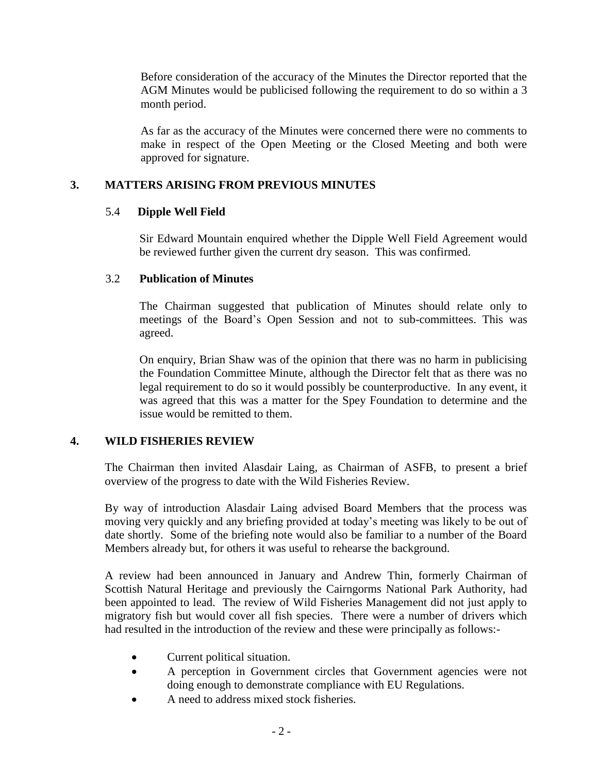Before consideration of the accuracy of the Minutes the Director reported that the AGM Minutes would be publicised following the requirement to do so within a 3 month period.

As far as the accuracy of the Minutes were concerned there were no comments to make in respect of the Open Meeting or the Closed Meeting and both were approved for signature.

## **3. MATTERS ARISING FROM PREVIOUS MINUTES**

## 5.4 **Dipple Well Field**

Sir Edward Mountain enquired whether the Dipple Well Field Agreement would be reviewed further given the current dry season. This was confirmed.

# 3.2 **Publication of Minutes**

The Chairman suggested that publication of Minutes should relate only to meetings of the Board's Open Session and not to sub-committees. This was agreed.

On enquiry, Brian Shaw was of the opinion that there was no harm in publicising the Foundation Committee Minute, although the Director felt that as there was no legal requirement to do so it would possibly be counterproductive. In any event, it was agreed that this was a matter for the Spey Foundation to determine and the issue would be remitted to them.

# **4. WILD FISHERIES REVIEW**

The Chairman then invited Alasdair Laing, as Chairman of ASFB, to present a brief overview of the progress to date with the Wild Fisheries Review.

By way of introduction Alasdair Laing advised Board Members that the process was moving very quickly and any briefing provided at today's meeting was likely to be out of date shortly. Some of the briefing note would also be familiar to a number of the Board Members already but, for others it was useful to rehearse the background.

A review had been announced in January and Andrew Thin, formerly Chairman of Scottish Natural Heritage and previously the Cairngorms National Park Authority, had been appointed to lead. The review of Wild Fisheries Management did not just apply to migratory fish but would cover all fish species. There were a number of drivers which had resulted in the introduction of the review and these were principally as follows:-

- Current political situation.
- A perception in Government circles that Government agencies were not doing enough to demonstrate compliance with EU Regulations.
- A need to address mixed stock fisheries.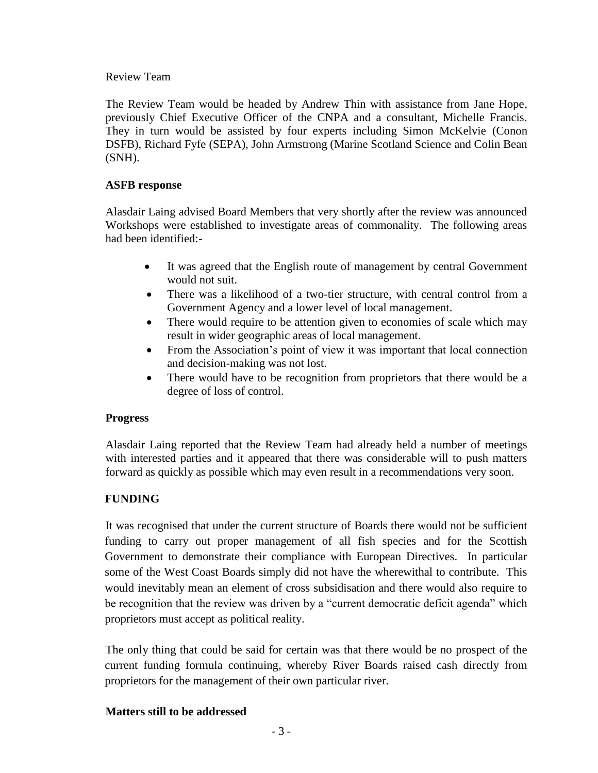#### Review Team

The Review Team would be headed by Andrew Thin with assistance from Jane Hope, previously Chief Executive Officer of the CNPA and a consultant, Michelle Francis. They in turn would be assisted by four experts including Simon McKelvie (Conon DSFB), Richard Fyfe (SEPA), John Armstrong (Marine Scotland Science and Colin Bean (SNH).

## **ASFB response**

Alasdair Laing advised Board Members that very shortly after the review was announced Workshops were established to investigate areas of commonality. The following areas had been identified:-

- It was agreed that the English route of management by central Government would not suit.
- There was a likelihood of a two-tier structure, with central control from a Government Agency and a lower level of local management.
- There would require to be attention given to economies of scale which may result in wider geographic areas of local management.
- From the Association's point of view it was important that local connection and decision-making was not lost.
- There would have to be recognition from proprietors that there would be a degree of loss of control.

## **Progress**

Alasdair Laing reported that the Review Team had already held a number of meetings with interested parties and it appeared that there was considerable will to push matters forward as quickly as possible which may even result in a recommendations very soon.

# **FUNDING**

It was recognised that under the current structure of Boards there would not be sufficient funding to carry out proper management of all fish species and for the Scottish Government to demonstrate their compliance with European Directives. In particular some of the West Coast Boards simply did not have the wherewithal to contribute. This would inevitably mean an element of cross subsidisation and there would also require to be recognition that the review was driven by a "current democratic deficit agenda" which proprietors must accept as political reality.

The only thing that could be said for certain was that there would be no prospect of the current funding formula continuing, whereby River Boards raised cash directly from proprietors for the management of their own particular river.

# **Matters still to be addressed**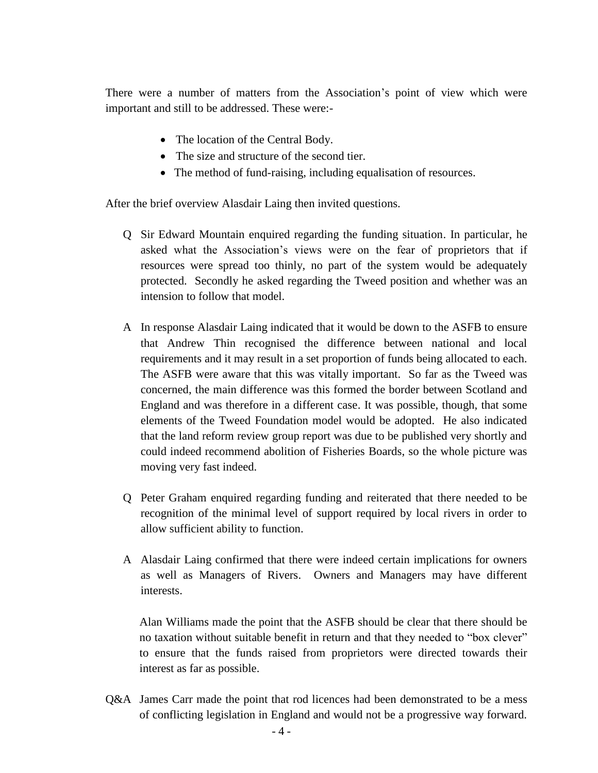There were a number of matters from the Association's point of view which were important and still to be addressed. These were:-

- The location of the Central Body.
- The size and structure of the second tier.
- The method of fund-raising, including equalisation of resources.

After the brief overview Alasdair Laing then invited questions.

- Q Sir Edward Mountain enquired regarding the funding situation. In particular, he asked what the Association's views were on the fear of proprietors that if resources were spread too thinly, no part of the system would be adequately protected. Secondly he asked regarding the Tweed position and whether was an intension to follow that model.
- A In response Alasdair Laing indicated that it would be down to the ASFB to ensure that Andrew Thin recognised the difference between national and local requirements and it may result in a set proportion of funds being allocated to each. The ASFB were aware that this was vitally important. So far as the Tweed was concerned, the main difference was this formed the border between Scotland and England and was therefore in a different case. It was possible, though, that some elements of the Tweed Foundation model would be adopted. He also indicated that the land reform review group report was due to be published very shortly and could indeed recommend abolition of Fisheries Boards, so the whole picture was moving very fast indeed.
- Q Peter Graham enquired regarding funding and reiterated that there needed to be recognition of the minimal level of support required by local rivers in order to allow sufficient ability to function.
- A Alasdair Laing confirmed that there were indeed certain implications for owners as well as Managers of Rivers. Owners and Managers may have different interests.

 Alan Williams made the point that the ASFB should be clear that there should be no taxation without suitable benefit in return and that they needed to "box clever" to ensure that the funds raised from proprietors were directed towards their interest as far as possible.

Q&A James Carr made the point that rod licences had been demonstrated to be a mess of conflicting legislation in England and would not be a progressive way forward.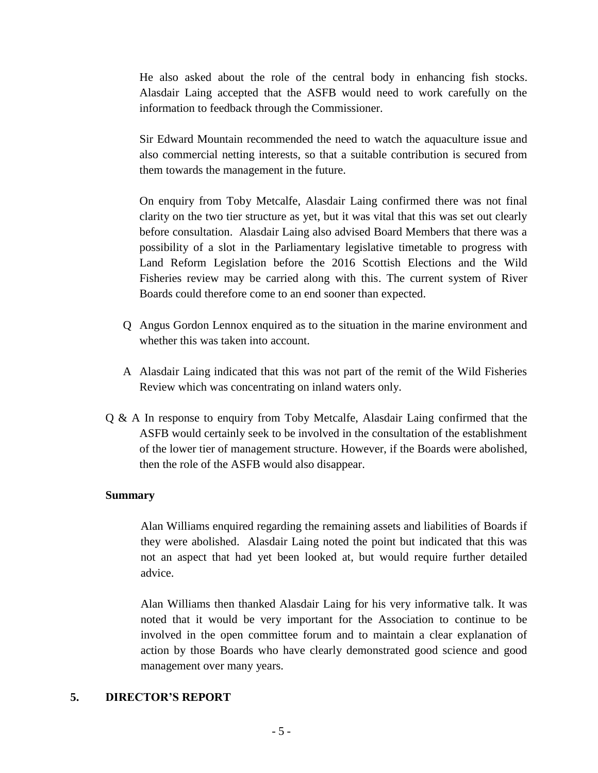He also asked about the role of the central body in enhancing fish stocks. Alasdair Laing accepted that the ASFB would need to work carefully on the information to feedback through the Commissioner.

Sir Edward Mountain recommended the need to watch the aquaculture issue and also commercial netting interests, so that a suitable contribution is secured from them towards the management in the future.

On enquiry from Toby Metcalfe, Alasdair Laing confirmed there was not final clarity on the two tier structure as yet, but it was vital that this was set out clearly before consultation. Alasdair Laing also advised Board Members that there was a possibility of a slot in the Parliamentary legislative timetable to progress with Land Reform Legislation before the 2016 Scottish Elections and the Wild Fisheries review may be carried along with this. The current system of River Boards could therefore come to an end sooner than expected.

- Q Angus Gordon Lennox enquired as to the situation in the marine environment and whether this was taken into account.
- A Alasdair Laing indicated that this was not part of the remit of the Wild Fisheries Review which was concentrating on inland waters only.
- Q & A In response to enquiry from Toby Metcalfe, Alasdair Laing confirmed that the ASFB would certainly seek to be involved in the consultation of the establishment of the lower tier of management structure. However, if the Boards were abolished, then the role of the ASFB would also disappear.

#### **Summary**

Alan Williams enquired regarding the remaining assets and liabilities of Boards if they were abolished. Alasdair Laing noted the point but indicated that this was not an aspect that had yet been looked at, but would require further detailed advice.

Alan Williams then thanked Alasdair Laing for his very informative talk. It was noted that it would be very important for the Association to continue to be involved in the open committee forum and to maintain a clear explanation of action by those Boards who have clearly demonstrated good science and good management over many years.

#### **5. DIRECTOR'S REPORT**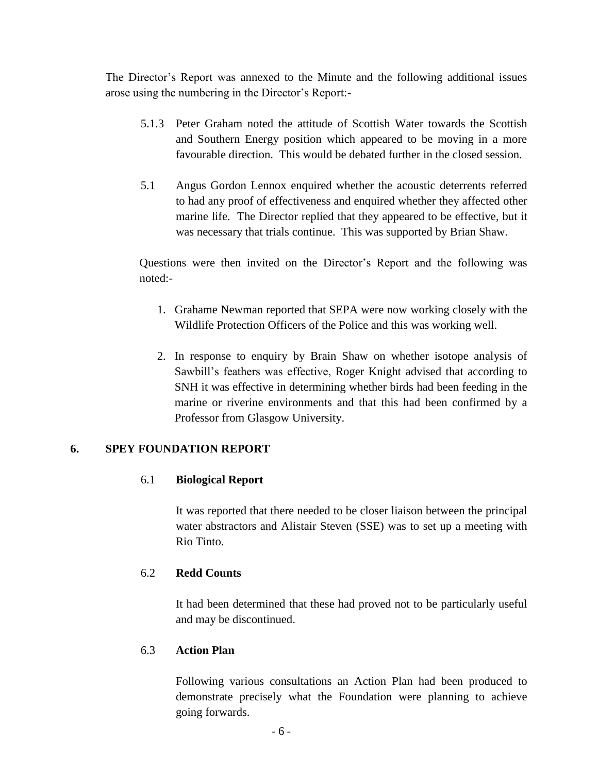The Director's Report was annexed to the Minute and the following additional issues arose using the numbering in the Director's Report:-

- 5.1.3 Peter Graham noted the attitude of Scottish Water towards the Scottish and Southern Energy position which appeared to be moving in a more favourable direction. This would be debated further in the closed session.
- 5.1 Angus Gordon Lennox enquired whether the acoustic deterrents referred to had any proof of effectiveness and enquired whether they affected other marine life. The Director replied that they appeared to be effective, but it was necessary that trials continue. This was supported by Brian Shaw.

Questions were then invited on the Director's Report and the following was noted:-

- 1. Grahame Newman reported that SEPA were now working closely with the Wildlife Protection Officers of the Police and this was working well.
- 2. In response to enquiry by Brain Shaw on whether isotope analysis of Sawbill's feathers was effective, Roger Knight advised that according to SNH it was effective in determining whether birds had been feeding in the marine or riverine environments and that this had been confirmed by a Professor from Glasgow University.

## **6. SPEY FOUNDATION REPORT**

## 6.1 **Biological Report**

It was reported that there needed to be closer liaison between the principal water abstractors and Alistair Steven (SSE) was to set up a meeting with Rio Tinto.

## 6.2 **Redd Counts**

It had been determined that these had proved not to be particularly useful and may be discontinued.

# 6.3 **Action Plan**

Following various consultations an Action Plan had been produced to demonstrate precisely what the Foundation were planning to achieve going forwards.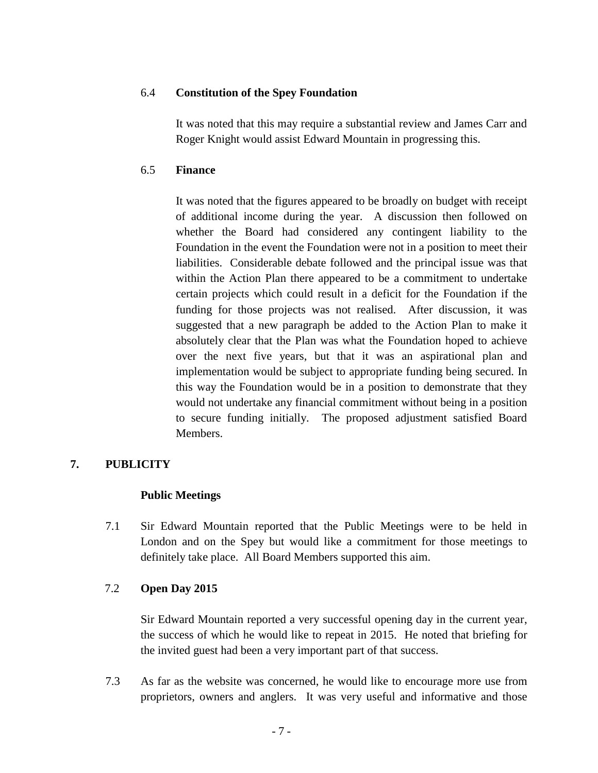#### 6.4 **Constitution of the Spey Foundation**

It was noted that this may require a substantial review and James Carr and Roger Knight would assist Edward Mountain in progressing this.

#### 6.5 **Finance**

It was noted that the figures appeared to be broadly on budget with receipt of additional income during the year. A discussion then followed on whether the Board had considered any contingent liability to the Foundation in the event the Foundation were not in a position to meet their liabilities. Considerable debate followed and the principal issue was that within the Action Plan there appeared to be a commitment to undertake certain projects which could result in a deficit for the Foundation if the funding for those projects was not realised. After discussion, it was suggested that a new paragraph be added to the Action Plan to make it absolutely clear that the Plan was what the Foundation hoped to achieve over the next five years, but that it was an aspirational plan and implementation would be subject to appropriate funding being secured. In this way the Foundation would be in a position to demonstrate that they would not undertake any financial commitment without being in a position to secure funding initially. The proposed adjustment satisfied Board Members.

# **7. PUBLICITY**

## **Public Meetings**

7.1 Sir Edward Mountain reported that the Public Meetings were to be held in London and on the Spey but would like a commitment for those meetings to definitely take place. All Board Members supported this aim.

## 7.2 **Open Day 2015**

Sir Edward Mountain reported a very successful opening day in the current year, the success of which he would like to repeat in 2015. He noted that briefing for the invited guest had been a very important part of that success.

7.3 As far as the website was concerned, he would like to encourage more use from proprietors, owners and anglers. It was very useful and informative and those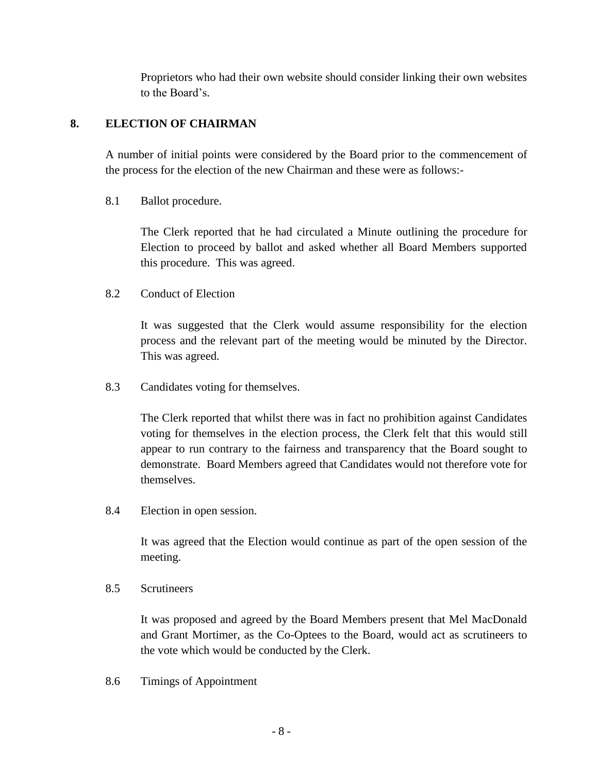Proprietors who had their own website should consider linking their own websites to the Board's.

## **8. ELECTION OF CHAIRMAN**

A number of initial points were considered by the Board prior to the commencement of the process for the election of the new Chairman and these were as follows:-

# 8.1 Ballot procedure.

The Clerk reported that he had circulated a Minute outlining the procedure for Election to proceed by ballot and asked whether all Board Members supported this procedure. This was agreed.

## 8.2 Conduct of Election

It was suggested that the Clerk would assume responsibility for the election process and the relevant part of the meeting would be minuted by the Director. This was agreed.

8.3 Candidates voting for themselves.

The Clerk reported that whilst there was in fact no prohibition against Candidates voting for themselves in the election process, the Clerk felt that this would still appear to run contrary to the fairness and transparency that the Board sought to demonstrate. Board Members agreed that Candidates would not therefore vote for themselves.

8.4 Election in open session.

It was agreed that the Election would continue as part of the open session of the meeting.

## 8.5 Scrutineers

It was proposed and agreed by the Board Members present that Mel MacDonald and Grant Mortimer, as the Co-Optees to the Board, would act as scrutineers to the vote which would be conducted by the Clerk.

8.6 Timings of Appointment